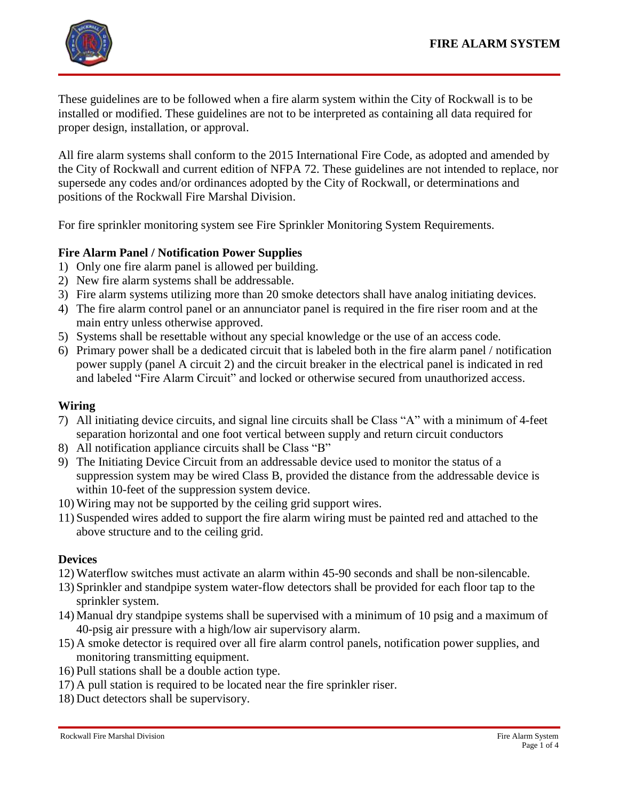

These guidelines are to be followed when a fire alarm system within the City of Rockwall is to be installed or modified. These guidelines are not to be interpreted as containing all data required for proper design, installation, or approval.

All fire alarm systems shall conform to the 2015 International Fire Code, as adopted and amended by the City of Rockwall and current edition of NFPA 72. These guidelines are not intended to replace, nor supersede any codes and/or ordinances adopted by the City of Rockwall, or determinations and positions of the Rockwall Fire Marshal Division.

For fire sprinkler monitoring system see Fire Sprinkler Monitoring System Requirements.

# **Fire Alarm Panel / Notification Power Supplies**

- 1) Only one fire alarm panel is allowed per building.
- 2) New fire alarm systems shall be addressable.
- 3) Fire alarm systems utilizing more than 20 smoke detectors shall have analog initiating devices.
- 4) The fire alarm control panel or an annunciator panel is required in the fire riser room and at the main entry unless otherwise approved.
- 5) Systems shall be resettable without any special knowledge or the use of an access code.
- 6) Primary power shall be a dedicated circuit that is labeled both in the fire alarm panel / notification power supply (panel A circuit 2) and the circuit breaker in the electrical panel is indicated in red and labeled "Fire Alarm Circuit" and locked or otherwise secured from unauthorized access.

### **Wiring**

- 7) All initiating device circuits, and signal line circuits shall be Class "A" with a minimum of 4-feet separation horizontal and one foot vertical between supply and return circuit conductors
- 8) All notification appliance circuits shall be Class "B"
- 9) The Initiating Device Circuit from an addressable device used to monitor the status of a suppression system may be wired Class B, provided the distance from the addressable device is within 10-feet of the suppression system device.
- 10) Wiring may not be supported by the ceiling grid support wires.
- 11) Suspended wires added to support the fire alarm wiring must be painted red and attached to the above structure and to the ceiling grid.

### **Devices**

- 12) Waterflow switches must activate an alarm within 45-90 seconds and shall be non-silencable.
- 13) Sprinkler and standpipe system water-flow detectors shall be provided for each floor tap to the sprinkler system.
- 14) Manual dry standpipe systems shall be supervised with a minimum of 10 psig and a maximum of 40-psig air pressure with a high/low air supervisory alarm.
- 15) A smoke detector is required over all fire alarm control panels, notification power supplies, and monitoring transmitting equipment.
- 16) Pull stations shall be a double action type.
- 17) A pull station is required to be located near the fire sprinkler riser.
- 18) Duct detectors shall be supervisory.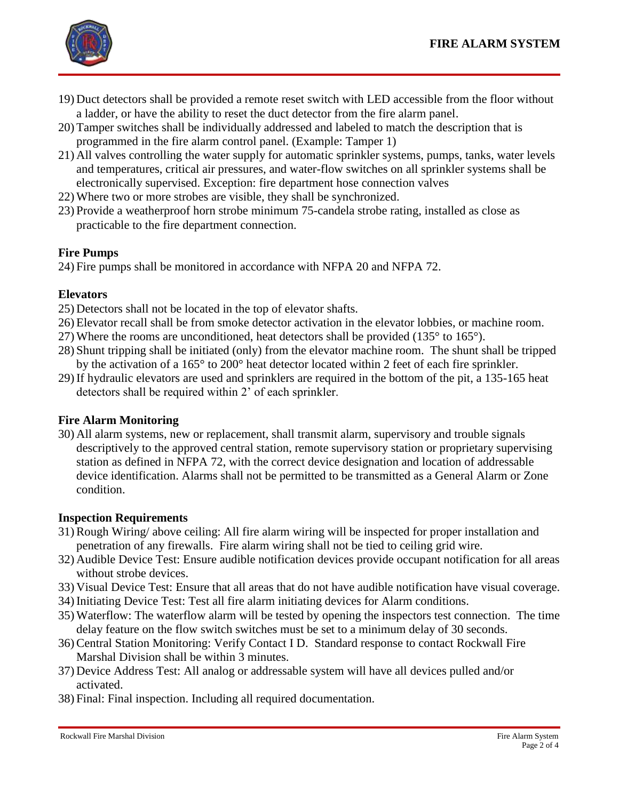

- 19) Duct detectors shall be provided a remote reset switch with LED accessible from the floor without a ladder, or have the ability to reset the duct detector from the fire alarm panel.
- 20) Tamper switches shall be individually addressed and labeled to match the description that is programmed in the fire alarm control panel. (Example: Tamper 1)
- 21) All valves controlling the water supply for automatic sprinkler systems, pumps, tanks, water levels and temperatures, critical air pressures, and water-flow switches on all sprinkler systems shall be electronically supervised. Exception: fire department hose connection valves
- 22) Where two or more strobes are visible, they shall be synchronized.
- 23) Provide a weatherproof horn strobe minimum 75-candela strobe rating, installed as close as practicable to the fire department connection.

# **Fire Pumps**

24) Fire pumps shall be monitored in accordance with NFPA 20 and NFPA 72.

## **Elevators**

- 25) Detectors shall not be located in the top of elevator shafts.
- 26) Elevator recall shall be from smoke detector activation in the elevator lobbies, or machine room.
- 27) Where the rooms are unconditioned, heat detectors shall be provided (135° to 165°).
- 28) Shunt tripping shall be initiated (only) from the elevator machine room. The shunt shall be tripped by the activation of a 165° to 200° heat detector located within 2 feet of each fire sprinkler.
- 29) If hydraulic elevators are used and sprinklers are required in the bottom of the pit, a 135-165 heat detectors shall be required within 2' of each sprinkler.

### **Fire Alarm Monitoring**

30) All alarm systems, new or replacement, shall transmit alarm, supervisory and trouble signals descriptively to the approved central station, remote supervisory station or proprietary supervising station as defined in NFPA 72, with the correct device designation and location of addressable device identification. Alarms shall not be permitted to be transmitted as a General Alarm or Zone condition.

### **Inspection Requirements**

- 31) Rough Wiring/ above ceiling: All fire alarm wiring will be inspected for proper installation and penetration of any firewalls. Fire alarm wiring shall not be tied to ceiling grid wire.
- 32) Audible Device Test: Ensure audible notification devices provide occupant notification for all areas without strobe devices.
- 33) Visual Device Test: Ensure that all areas that do not have audible notification have visual coverage.
- 34) Initiating Device Test: Test all fire alarm initiating devices for Alarm conditions.
- 35) Waterflow: The waterflow alarm will be tested by opening the inspectors test connection. The time delay feature on the flow switch switches must be set to a minimum delay of 30 seconds.
- 36) Central Station Monitoring: Verify Contact I D. Standard response to contact Rockwall Fire Marshal Division shall be within 3 minutes.
- 37) Device Address Test: All analog or addressable system will have all devices pulled and/or activated.
- 38) Final: Final inspection. Including all required documentation.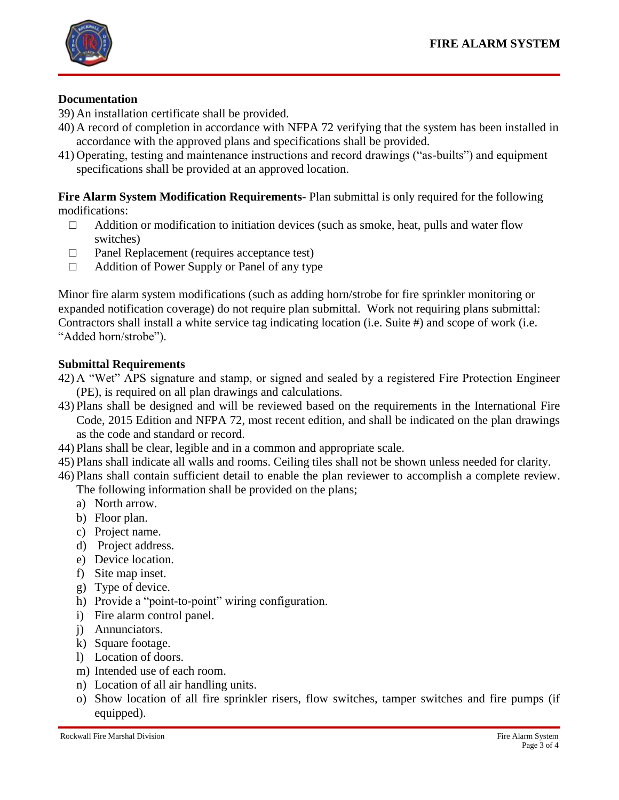

## **Documentation**

- 39) An installation certificate shall be provided.
- 40) A record of completion in accordance with NFPA 72 verifying that the system has been installed in accordance with the approved plans and specifications shall be provided.
- 41) Operating, testing and maintenance instructions and record drawings ("as-builts") and equipment specifications shall be provided at an approved location.

**Fire Alarm System Modification Requirements**- Plan submittal is only required for the following modifications:

- $\Box$  Addition or modification to initiation devices (such as smoke, heat, pulls and water flow switches)
- □ Panel Replacement (requires acceptance test)
- □ Addition of Power Supply or Panel of any type

Minor fire alarm system modifications (such as adding horn/strobe for fire sprinkler monitoring or expanded notification coverage) do not require plan submittal. Work not requiring plans submittal: Contractors shall install a white service tag indicating location (i.e. Suite #) and scope of work (i.e. "Added horn/strobe").

### **Submittal Requirements**

- 42) A "Wet" APS signature and stamp, or signed and sealed by a registered Fire Protection Engineer (PE), is required on all plan drawings and calculations.
- 43) Plans shall be designed and will be reviewed based on the requirements in the International Fire Code, 2015 Edition and NFPA 72, most recent edition, and shall be indicated on the plan drawings as the code and standard or record.
- 44) Plans shall be clear, legible and in a common and appropriate scale.
- 45) Plans shall indicate all walls and rooms. Ceiling tiles shall not be shown unless needed for clarity.
- 46) Plans shall contain sufficient detail to enable the plan reviewer to accomplish a complete review. The following information shall be provided on the plans;
	- a) North arrow.
	- b) Floor plan.
	- c) Project name.
	- d) Project address.
	- e) Device location.
	- f) Site map inset.
	- g) Type of device.
	- h) Provide a "point-to-point" wiring configuration.
	- i) Fire alarm control panel.
	- j) Annunciators.
	- k) Square footage.
	- l) Location of doors.
	- m) Intended use of each room.
	- n) Location of all air handling units.
	- o) Show location of all fire sprinkler risers, flow switches, tamper switches and fire pumps (if equipped).